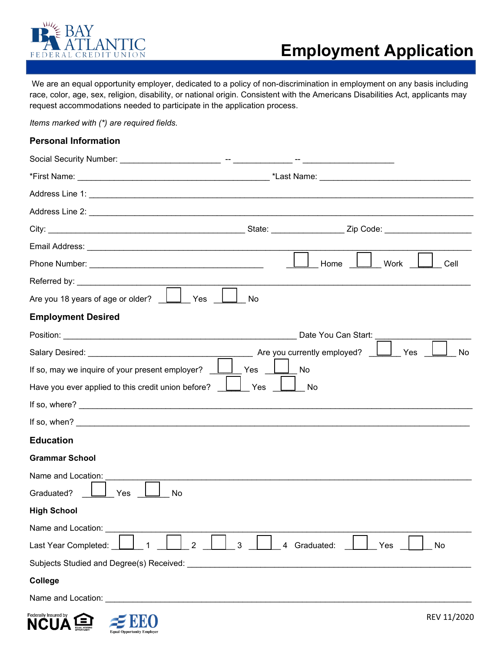

We are an equal opportunity employer, dedicated to a policy of non-discrimination in employment on any basis including race, color, age, sex, religion, disability, or national origin. Consistent with the Americans Disabilities Act, applicants may request accommodations needed to participate in the application process.

*Items marked with (\*) are required fields.*

### **Personal Information**

|                                                                                                                                                                                                                                | Home<br>Work<br>Cell                            |
|--------------------------------------------------------------------------------------------------------------------------------------------------------------------------------------------------------------------------------|-------------------------------------------------|
|                                                                                                                                                                                                                                |                                                 |
| Are you 18 years of age or older?<br>Yes<br>No                                                                                                                                                                                 |                                                 |
| <b>Employment Desired</b>                                                                                                                                                                                                      |                                                 |
|                                                                                                                                                                                                                                | Date You Can Start:                             |
| Salary Desired: The Contract of the Contract of the Contract of the Contract of the Contract of the Contract of the Contract of the Contract of the Contract of the Contract of the Contract of the Contract of the Contract o | Are you currently employed?<br>Yes<br><b>No</b> |
| If so, may we inquire of your present employer?<br>Yes                                                                                                                                                                         | No                                              |
| Have you ever applied to this credit union before?<br>Yes                                                                                                                                                                      | No                                              |
|                                                                                                                                                                                                                                |                                                 |
| If so, when? $\blacksquare$                                                                                                                                                                                                    |                                                 |
| <b>Education</b>                                                                                                                                                                                                               |                                                 |
| <b>Grammar School</b>                                                                                                                                                                                                          |                                                 |
| Name and Location:                                                                                                                                                                                                             |                                                 |
| Graduated?<br>Yes<br>No                                                                                                                                                                                                        |                                                 |
| <b>High School</b>                                                                                                                                                                                                             |                                                 |
| Name and Location:                                                                                                                                                                                                             |                                                 |
| Last Year Completed:<br>3<br>$\overline{2}$                                                                                                                                                                                    | 4 Graduated:<br>Yes<br>No                       |
| Subjects Studied and Degree(s) Received: Necrollection and the studies of the studies of the studies of the studies                                                                                                            |                                                 |
| College                                                                                                                                                                                                                        |                                                 |
|                                                                                                                                                                                                                                |                                                 |
|                                                                                                                                                                                                                                |                                                 |

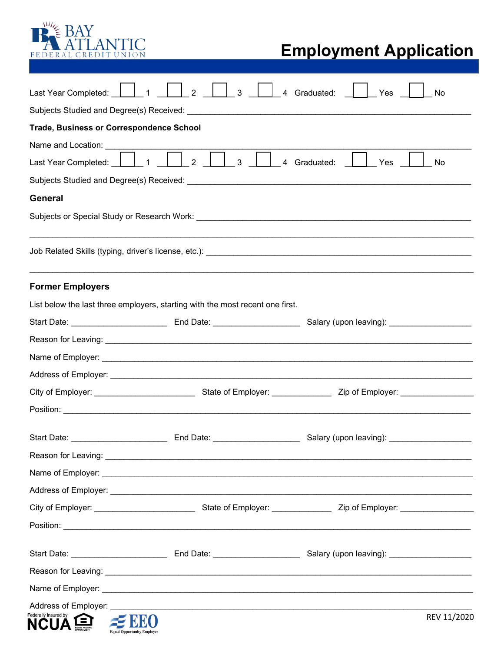

# **Employment Application**

| Last Year Completed:                                                                                                               | $\overline{2}$<br>$\mathbf{3}$<br>4 Graduated:<br>1<br>Yes                                                                             | No          |  |  |  |
|------------------------------------------------------------------------------------------------------------------------------------|----------------------------------------------------------------------------------------------------------------------------------------|-------------|--|--|--|
|                                                                                                                                    |                                                                                                                                        |             |  |  |  |
|                                                                                                                                    | <b>Trade, Business or Correspondence School</b>                                                                                        |             |  |  |  |
|                                                                                                                                    |                                                                                                                                        |             |  |  |  |
| Last Year Completed: 1<br>$\begin{bmatrix} 1 & 1 \\ 1 & 4 \end{bmatrix}$ Graduated:<br>2 <sup>1</sup><br>$\mathbf{3}$<br>Yes<br>No |                                                                                                                                        |             |  |  |  |
| <b>General</b>                                                                                                                     |                                                                                                                                        |             |  |  |  |
|                                                                                                                                    |                                                                                                                                        |             |  |  |  |
|                                                                                                                                    |                                                                                                                                        |             |  |  |  |
|                                                                                                                                    |                                                                                                                                        |             |  |  |  |
|                                                                                                                                    |                                                                                                                                        |             |  |  |  |
| <b>Former Employers</b>                                                                                                            |                                                                                                                                        |             |  |  |  |
|                                                                                                                                    | List below the last three employers, starting with the most recent one first.                                                          |             |  |  |  |
|                                                                                                                                    | Start Date: _________________________________ End Date: ___________________________Salary (upon leaving): _________________________    |             |  |  |  |
|                                                                                                                                    |                                                                                                                                        |             |  |  |  |
|                                                                                                                                    |                                                                                                                                        |             |  |  |  |
|                                                                                                                                    |                                                                                                                                        |             |  |  |  |
|                                                                                                                                    | City of Employer: __________________________________State of Employer: _________________Zip of Employer: _____________________________ |             |  |  |  |
|                                                                                                                                    |                                                                                                                                        |             |  |  |  |
| Start Date: _________________________                                                                                              | End Date: _____________________<br>Salary (upon leaving): ___________                                                                  |             |  |  |  |
|                                                                                                                                    |                                                                                                                                        |             |  |  |  |
|                                                                                                                                    |                                                                                                                                        |             |  |  |  |
|                                                                                                                                    |                                                                                                                                        |             |  |  |  |
|                                                                                                                                    |                                                                                                                                        |             |  |  |  |
|                                                                                                                                    |                                                                                                                                        |             |  |  |  |
|                                                                                                                                    |                                                                                                                                        |             |  |  |  |
|                                                                                                                                    |                                                                                                                                        |             |  |  |  |
|                                                                                                                                    |                                                                                                                                        |             |  |  |  |
| Address of Employer:                                                                                                               | <u> 1989 - Johann John Stone, markin sanadi ya kutoka mwaka wa 1989 - Amerika mwaka wa 1989 - Amerika mwaka wa 19</u>                  |             |  |  |  |
| Federally Insured by                                                                                                               |                                                                                                                                        | REV 11/2020 |  |  |  |
|                                                                                                                                    | <b>Equal Opportunity Employer</b>                                                                                                      |             |  |  |  |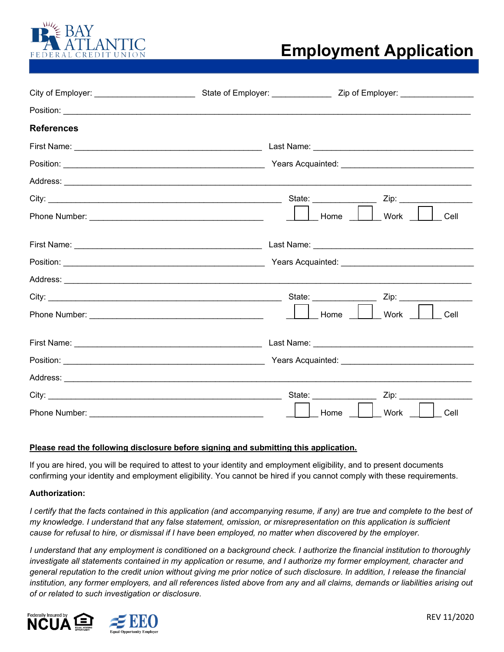

### **Employment Application**

| <b>References</b> |                                                                      |  |
|-------------------|----------------------------------------------------------------------|--|
|                   | Last Name: __________________________________                        |  |
|                   |                                                                      |  |
|                   |                                                                      |  |
|                   | State: ________________<br>Zip:                                      |  |
|                   | Home<br>Work<br>Cell                                                 |  |
|                   |                                                                      |  |
|                   |                                                                      |  |
|                   |                                                                      |  |
|                   | State: _________________                                             |  |
|                   | Work<br>Home<br>Cell                                                 |  |
|                   |                                                                      |  |
|                   |                                                                      |  |
|                   |                                                                      |  |
|                   | State: National Contract of State:<br>Zip: _________________________ |  |
| Phone Number:     | Work<br>Home<br>Cell                                                 |  |

#### **Please read the following disclosure before signing and submitting this application.**

If you are hired, you will be required to attest to your identity and employment eligibility, and to present documents confirming your identity and employment eligibility. You cannot be hired if you cannot comply with these requirements.

#### **Authorization:**

*I* certify that the facts contained in this application (and accompanying resume, if any) are true and complete to the best of *my knowledge. I understand that any false statement, omission, or misrepresentation on this application is sufficient cause for refusal to hire, or dismissal if I have been employed, no matter when discovered by the employer.* 

*I understand that any employment is conditioned on a background check. I authorize the financial institution to thoroughly investigate all statements contained in my application or resume, and I authorize my former employment, character and general reputation to the credit union without giving me prior notice of such disclosure. In addition, I release the financial institution, any former employers, and all references listed above from any and all claims, demands or liabilities arising out of or related to such investigation or disclosure.*